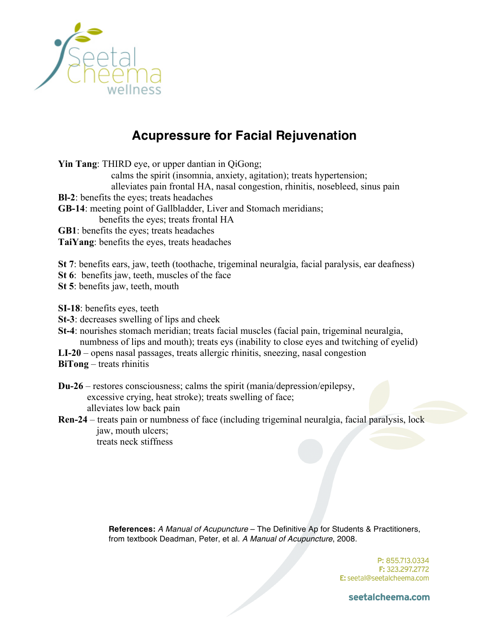

## **Acupressure for Facial Rejuvenation**

**Yin Tang**: THIRD eye, or upper dantian in OiGong; calms the spirit (insomnia, anxiety, agitation); treats hypertension; alleviates pain frontal HA, nasal congestion, rhinitis, nosebleed, sinus pain **Bl-2**: benefits the eyes; treats headaches **GB-14**: meeting point of Gallbladder, Liver and Stomach meridians; benefits the eyes; treats frontal HA **GB1**: benefits the eyes; treats headaches **TaiYang**: benefits the eyes, treats headaches **St 7**: benefits ears, jaw, teeth (toothache, trigeminal neuralgia, facial paralysis, ear deafness)

**St 6**: benefits jaw, teeth, muscles of the face

**St 5**: benefits jaw, teeth, mouth

**SI-18**: benefits eyes, teeth

**St-3**: decreases swelling of lips and cheek

**St-4**: nourishes stomach meridian; treats facial muscles (facial pain, trigeminal neuralgia, numbness of lips and mouth); treats eys (inability to close eyes and twitching of eyelid)

**LI-20** – opens nasal passages, treats allergic rhinitis, sneezing, nasal congestion

**BiTong** – treats rhinitis

**Du-26** – restores consciousness; calms the spirit (mania/depression/epilepsy, excessive crying, heat stroke); treats swelling of face; alleviates low back pain

**Ren-24** – treats pain or numbness of face (including trigeminal neuralgia, facial paralysis, lock jaw, mouth ulcers; treats neck stiffness

> **References:** *A Manual of Acupuncture* – The Definitive Ap for Students & Practitioners, from textbook Deadman, Peter, et al. *A Manual of Acupuncture*, 2008.

> > P: 855.713.0334 F: 323.297.2772 E: seetal@seetalcheema.com

seetalcheema.com